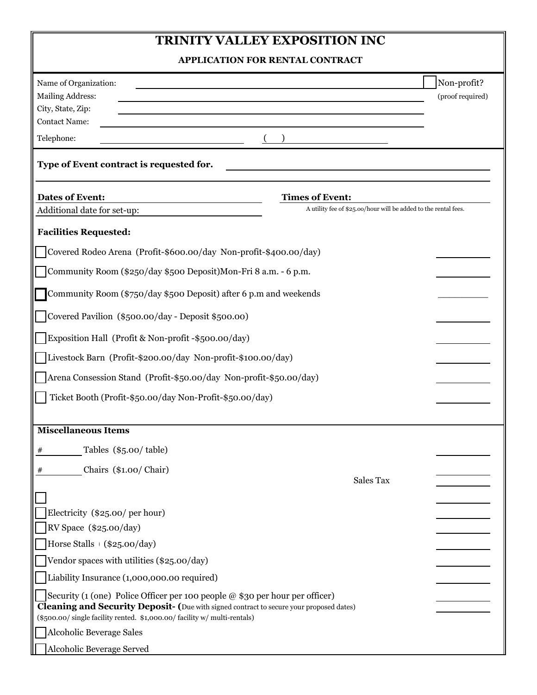# **TRINITY VALLEY EXPOSITION INC**

Ι

| <b>APPLICATION FOR RENTAL CONTRACT</b>                                                                                                                                                                                                                                                                                                                                                                                                                                                                                                                   |                                                                                           |                                 |
|----------------------------------------------------------------------------------------------------------------------------------------------------------------------------------------------------------------------------------------------------------------------------------------------------------------------------------------------------------------------------------------------------------------------------------------------------------------------------------------------------------------------------------------------------------|-------------------------------------------------------------------------------------------|---------------------------------|
| Name of Organization:<br><b>Mailing Address:</b><br>City, State, Zip:<br><b>Contact Name:</b><br>Telephone:                                                                                                                                                                                                                                                                                                                                                                                                                                              |                                                                                           | Non-profit?<br>(proof required) |
| Type of Event contract is requested for.                                                                                                                                                                                                                                                                                                                                                                                                                                                                                                                 |                                                                                           |                                 |
| Dates of Event:<br>Additional date for set-up:                                                                                                                                                                                                                                                                                                                                                                                                                                                                                                           | <b>Times of Event:</b><br>A utility fee of \$25.00/hour will be added to the rental fees. |                                 |
| <b>Facilities Requested:</b><br>Covered Rodeo Arena (Profit-\$600.00/day Non-profit-\$400.00/day)<br>Community Room (\$250/day \$500 Deposit)Mon-Fri 8 a.m. - 6 p.m.<br>Community Room (\$750/day \$500 Deposit) after 6 p.m and weekends<br>Covered Pavilion (\$500.00/day - Deposit \$500.00)<br>Exposition Hall (Profit & Non-profit -\$500.00/day)<br>Livestock Barn (Profit-\$200.00/day Non-profit-\$100.00/day)<br>Arena Consession Stand (Profit-\$50.00/day Non-profit-\$50.00/day)<br>Ticket Booth (Profit-\$50.00/day Non-Profit-\$50.00/day) |                                                                                           |                                 |
| <b>Miscellaneous Items</b>                                                                                                                                                                                                                                                                                                                                                                                                                                                                                                                               |                                                                                           |                                 |
| Tables (\$5.00/table)<br>#<br>Chairs (\$1.00/Chair)<br>#<br>Electricity (\$25.00/per hour)<br>RV Space (\$25.00/day)<br>Horse Stalls $( $25.00/day)$<br>Vendor spaces with utilities (\$25.00/day)<br>Liability Insurance (1,000,000.00 required)<br>Security (1 (one) Police Officer per 100 people $@$ \$30 per hour per officer)<br>Cleaning and Security Deposit- (Due with signed contract to secure your proposed dates)                                                                                                                           | Sales Tax                                                                                 |                                 |
| (\$500.00/ single facility rented. \$1,000.00/ facility w/ multi-rentals)<br><b>Alcoholic Beverage Sales</b><br>Alcoholic Beverage Served                                                                                                                                                                                                                                                                                                                                                                                                                |                                                                                           |                                 |